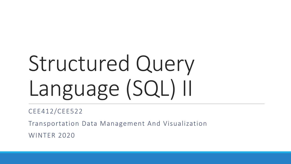# Structured Query Language (SQL) II

CEE412/CEE522

Transportation Data Management And Visualization WINTER 2020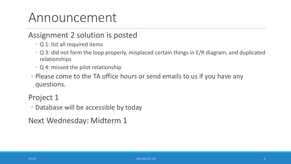#### Announcement

#### Assignment 2 solution is posted

- Q 1: list all required items
- Q 3: did not form the loop properly, misplaced certain things in E/R diagram, and duplicated relationships
- Q 4: missed the pilot relationship
- Please come to the TA office hours or send emails to us if you have any questions.

Project 1

◦ Database will be accessible by today

Next Wednesday: Midterm 1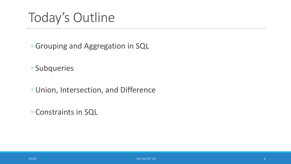Today's Outline

◦ Subqueries

◦Union, Intersection, and Difference

◦ Constraints in SQL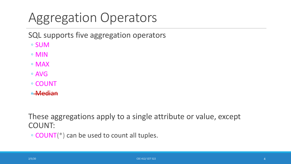## Aggregation Operators

SQL supports five aggregation operators

- SUM
- MIN
- MAX
- AVG
- COUNT
- Median

These aggregations apply to a single attribute or value, except COUNT:

◦ COUNT(\*) can be used to count all tuples.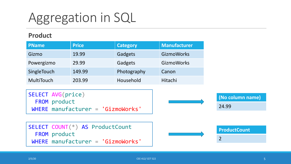## Aggregation in SQL

#### **Product**

| <b>PName</b> | <b>Price</b> | <b>Category</b> | <b>Manufacturer</b> |
|--------------|--------------|-----------------|---------------------|
| Gizmo        | 19.99        | Gadgets         | <b>GizmoWorks</b>   |
| Powergizmo   | 29.99        | Gadgets         | <b>GizmoWorks</b>   |
| SingleTouch  | 149.99       | Photography     | Canon               |
| MultiTouch   | 203.99       | Household       | Hitachi             |

```
SELECT AVG(price)
 FROM product
 WHERE manufacturer =
'GizmoWorks'
```


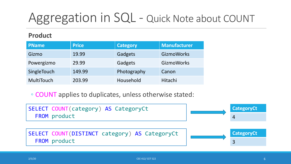## Aggregation in SQL - Quick Note about COUNT

#### **Product**

| <b>PName</b> | <b>Price</b> | <b>Category</b> | <b>Manufacturer</b> |
|--------------|--------------|-----------------|---------------------|
| Gizmo        | 19.99        | Gadgets         | <b>GizmoWorks</b>   |
| Powergizmo   | 29.99        | Gadgets         | <b>GizmoWorks</b>   |
| SingleTouch  | 149.99       | Photography     | Canon               |
| MultiTouch   | 203.99       | Household       | Hitachi             |

◦ COUNT applies to duplicates, unless otherwise stated:

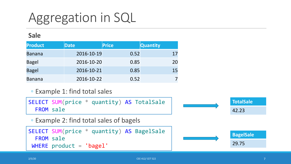## Aggregation in SQL

#### **Sale**

| <b>Product</b> | Date       | <b>Price</b> | <b>Quantity</b> |
|----------------|------------|--------------|-----------------|
| <b>Banana</b>  | 2016-10-19 | 0.52         |                 |
| <b>Bagel</b>   | 2016-10-20 | 0.85         | 20              |
| <b>Bagel</b>   | 2016-10-21 | 0.85         | 15              |
| <b>Banana</b>  | 2016-10-22 | 0.52         |                 |

◦ Example 1: find total sales

```
SELECT SUM(price * quantity) AS TotalSale
  FROM sale
```

```
◦ Example 2: find total sales of bagels
```

```
SELECT SUM(price * quantity) AS BagelSale
  FROM sale
WHERE product = 'bagel'
```
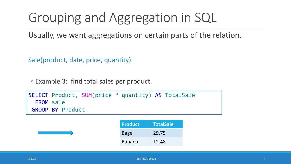Usually, we want aggregations on certain parts of the relation.

Sale(product, date, price, quantity)

◦ Example 3: find total sales per product.

SELECT Product, SUM(price \* quantity) AS TotalSale FROM sale GROUP BY Product

| <b>Product</b> | <b>TotalSale</b> |
|----------------|------------------|
| <b>Bagel</b>   | 29.75            |
| <b>Banana</b>  | 12.48            |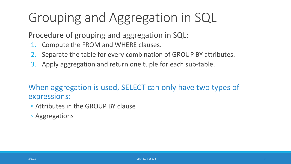Procedure of grouping and aggregation in SQL:

- 1. Compute the FROM and WHERE clauses.
- 2. Separate the table for every combination of GROUP BY attributes.
- 3. Apply aggregation and return one tuple for each sub-table.

#### When aggregation is used, SELECT can only have two types of expressions:

- Attributes in the GROUP BY clause
- Aggregations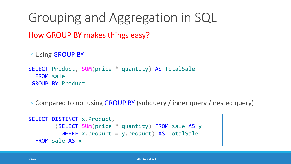How GROUP BY makes things easy?

◦ Using GROUP BY

SELECT Product, SUM(price \* quantity) AS TotalSale FROM sale GROUP BY Product

◦ Compared to not using GROUP BY (subquery / inner query / nested query)

```
SELECT DISTINCT x.Product,
        (SELECT SUM(price * quantity) FROM sale AS y
          WHERE x. product = y. product) AS TotalSale
  FROM sale AS x
```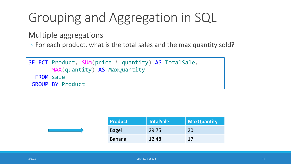Multiple aggregations

◦ For each product, what is the total sales and the max quantity sold?

```
SELECT Product, SUM(price * quantity) AS TotalSale,
       MAX(quantity) AS MaxQuantity
  FROM sale
GROUP BY Product
```

| <b>Product</b> | <b>TotalSale</b> | MaxQuantity |
|----------------|------------------|-------------|
| <b>Bagel</b>   | 29.75            | 20          |
| <b>Banana</b>  | 12.48            | 17          |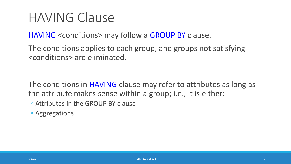#### HAVING Clause

HAVING <conditions> may follow a GROUP BY clause.

The conditions applies to each group, and groups not satisfying <conditions> are eliminated.

The conditions in HAVING clause may refer to attributes as long as the attribute makes sense within a group; i.e., it is either:

- Attributes in the GROUP BY clause
- Aggregations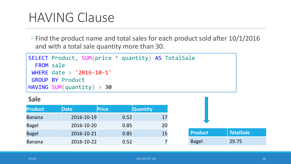#### HAVING Clause

◦ Find the product name and total sales for each product sold after 10/1/2016 and with a total sale quantity more than 30.

```
SELECT Product, SUM(price * quantity) AS TotalSale
  FROM sale
WHERE date > '2016-10-1'
GROUP BY Product
HAVING SUM(quantity) > 30
```
#### **Sale**

| <b>Product</b> | <b>Date</b> | <b>Price</b> | <b>Quantity</b> |
|----------------|-------------|--------------|-----------------|
| <b>Banana</b>  | 2016-10-19  | 0.52         | 17              |
| <b>Bagel</b>   | 2016-10-20  | 0.85         | 20              |
| <b>Bagel</b>   | 2016-10-21  | 0.85         | 15              |
| <b>Banana</b>  | 2016-10-22  | 0.52         |                 |

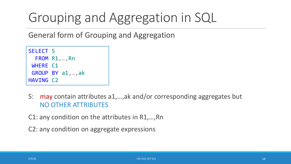General form of Grouping and Aggregation

```
SELECT S
  FROM R1,…,Rn
WHERE C1
GROUP BY a1, ..., ak
HAVING C2
```
S: may contain attributes a1,…,ak and/or corresponding aggregates but NO OTHER ATTRIBUTES

C1: any condition on the attributes in R1,…,Rn

C2: any condition on aggregate expressions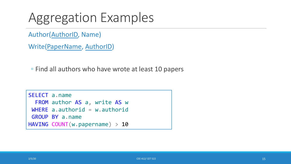#### Aggregation Examples

Author(AuthorID, Name)

Write(PaperName, AuthorID)

◦ Find all authors who have wrote at least 10 papers

```
SELECT a.name
  FROM author AS a, write AS w
WHERE a.authorid = w.authorid
GROUP BY a.name
HAVING COUNT(w.papername) > 10
```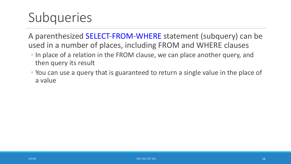## **Subqueries**

A parenthesized SELECT-FROM-WHERE statement (subquery) can be used in a number of places, including FROM and WHERE clauses

- In place of a relation in the FROM clause, we can place another query, and then query its result
- You can use a query that is guaranteed to return a single value in the place of a value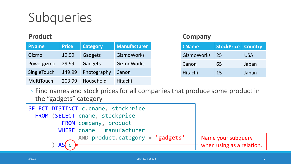## Subqueries

#### **Product**

| <b>PName</b> | Price  | <b>Category</b> | <b>Manufacturer</b> |
|--------------|--------|-----------------|---------------------|
| Gizmo        | 19.99  | Gadgets         | <b>GizmoWorks</b>   |
| Powergizmo   | 29.99  | Gadgets         | <b>GizmoWorks</b>   |
| SingleTouch  | 149.99 | Photography     | Canon               |
| MultiTouch   | 203.99 | Household       | Hitachi             |

#### **Company**

| <b>CName</b> | StockPrice   Country |            |
|--------------|----------------------|------------|
| GizmoWorks   | 25                   | <b>USA</b> |
| Canon        | 65                   | Japan      |
| Hitachi      | 15                   | Japan      |

◦ Find names and stock prices for all companies that produce some product in the "gadgets" category

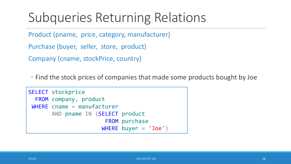Product (pname, price, category, manufacturer)

Purchase (buyer, seller, store, product)

Company (cname, stockPrice, country)

◦ Find the stock prices of companies that made some products bought by Joe

```
SELECT stockprice
  FROM company, product
WHERE cname = manufacturer
       AND pname IN (SELECT product
                       FROM purchase
                      WHERE buyer = 'Joe')
```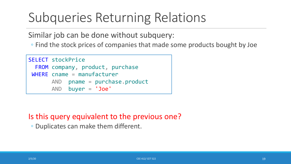Similar job can be done without subquery:

◦ Find the stock prices of companies that made some products bought by Joe

```
SELECT stockPrice
  FROM company, product, purchase
WHERE cname = manufacturer
       AND pname = purchase.product
       AND buyer = 'Joe'
```
#### Is this query equivalent to the previous one?

◦ Duplicates can make them different.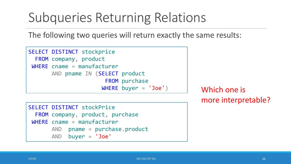The following two queries will return exactly the same results:

```
SELECT DISTINCT stockprice
  FROM company, product
WHERE cname = manufacturer
       AND pname IN (SELECT product
                       FROM purchase
                      WHERE buyer = 'Joe')
```

```
Which one is 
more interpretable?
```

```
SELECT DISTINCT stockPrice
 FROM company, product, purchase
WHERE cname = manufacturer
       AND pname = purchase.product
       AND buyer = 'Joe'
```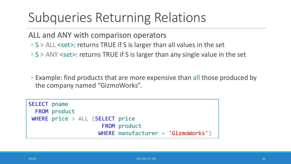#### ALL and ANY with comparison operators

- S > ALL <set>: returns TRUE if S is larger than all values in the set
- S > ANY <set>: returns TRUE if S is larger than any single value in the set
- Example: find products that are more expensive than all those produced by the company named "GizmoWorks".

| <b>SELECT</b> pname | <b>FROM</b> product |                                     |                                        |  |
|---------------------|---------------------|-------------------------------------|----------------------------------------|--|
|                     |                     | WHERE $price > ALL$ (SELECT $price$ |                                        |  |
|                     |                     |                                     | FROM product                           |  |
|                     |                     |                                     | $WHERE$ manufacturer = $'Gizmokoks'$ ) |  |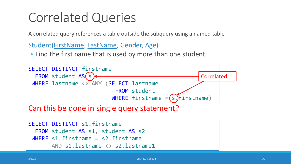## Correlated Queries

A correlated query references a table outside the subquery using a named table

#### Student(FirstName, LastName, Gender, Age)

◦ Find the first name that is used by more than one student.



Can this be done in single query statement?

SELECT DISTINCT s1.firstname FROM student AS s1, student AS s2 WHERE s1.firstname = s2.firstname AND s1.lastname <> s2.lastname1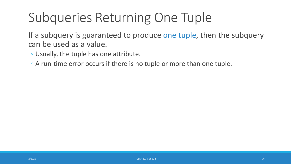## Subqueries Returning One Tuple

If a subquery is guaranteed to produce one tuple, then the subquery can be used as a value.

- Usually, the tuple has one attribute.
- A run-time error occurs if there is no tuple or more than one tuple.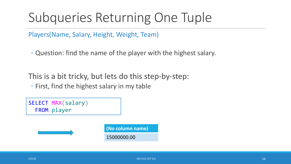## Subqueries Returning One Tuple

Players(Name, Salary, Height, Weight, Team)

◦ Question: find the name of the player with the highest salary.

This is a bit tricky, but lets do this step-by-step: ◦ First, find the highest salary in my table

SELECT MAX(salary) FROM player **(No column name)** 15000000.00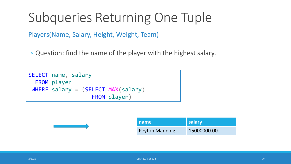## Subqueries Returning One Tuple

Players(Name, Salary, Height, Weight, Team)

◦ Question: find the name of the player with the highest salary.

| SELECT name, salary                  |
|--------------------------------------|
| FROM player                          |
| $WHERE$ salary = (SELECT MAX(salary) |
| FROM player)                         |

| name                  | salary      |
|-----------------------|-------------|
| <b>Peyton Manning</b> | 15000000.00 |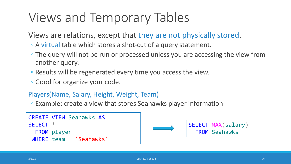## Views and Temporary Tables

Views are relations, except that they are not physically stored.

- A virtual table which stores a shot-cut of a query statement.
- The query will not be run or processed unless you are accessing the view from another query.
- Results will be regenerated every time you access the view.
- Good for organize your code.

#### Players(Name, Salary, Height, Weight, Team)

◦ Example: create a view that stores Seahawks player information

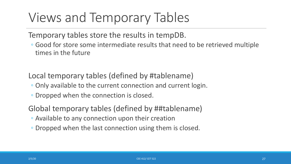## Views and Temporary Tables

Temporary tables store the results in tempDB.

◦ Good for store some intermediate results that need to be retrieved multiple times in the future

Local temporary tables (defined by #tablename)

- Only available to the current connection and current login.
- Dropped when the connection is closed.

Global temporary tables (defined by ##tablename)

- Available to any connection upon their creation
- Dropped when the last connection using them is closed.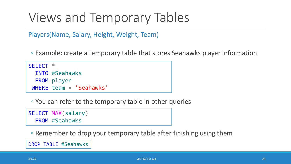## Views and Temporary Tables

Players(Name, Salary, Height, Weight, Team)

◦ Example: create a temporary table that stores Seahawks player information

```
SELECT *
  INTO #Seahawks
  FROM player
 WHERE team = 'Seahawks'
```
◦ You can refer to the temporary table in other queries

```
SELECT MAX(salary)
  FROM #Seahawks
```
◦ Remember to drop your temporary table after finishing using them

DROP TABLE #Seahawks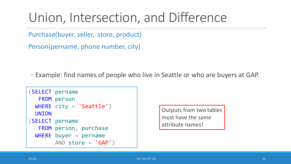#### Union, Intersection, and Difference

Purchase(buyer, seller, store, product)

Person(pername, phone number, city)

◦ Example: find names of people who live in Seattle or who are buyers at GAP.

```
(SELECT pername
  FROM person
 WHERE city = 'Seattle')
 UNION
(SELECT pername
  FROM person, purchase
 WHERE buyer = pername
       AND store = 'GAP')
```
Outputs from two tables must have the same attribute names!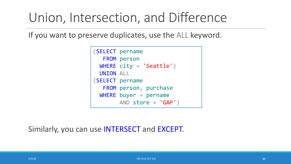#### Union, Intersection, and Difference

If you want to preserve duplicates, use the ALL keyword.

```
(SELECT pername
  FROM person
 WHERE city = 'Seattle')
 UNION ALL
(SELECT pername
  FROM person, purchase
 WHERE buyer = pername
       AND store = 'GAP')
```
Similarly, you can use INTERSECT and EXCEPT.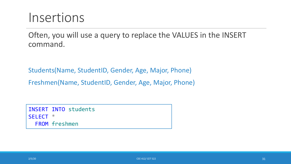#### Insertions

Often, you will use a query to replace the VALUES in the INSERT command.

Students(Name, StudentID, Gender, Age, Major, Phone) Freshmen(Name, StudentID, Gender, Age, Major, Phone)

INSERT INTO students SELECT \* FROM freshmen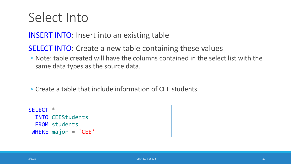#### Select Into

#### INSERT INTO: Insert into an existing table

#### SELECT INTO: Create a new table containing these values

◦ Note: table created will have the columns contained in the select list with the same data types as the source data.

◦ Create a table that include information of CEE students

| SELECT <sup>*</sup> |                         |
|---------------------|-------------------------|
|                     | <b>INTO CEEStudents</b> |
|                     | <b>FROM</b> students    |
|                     | $WHERE$ major = $ICEE'$ |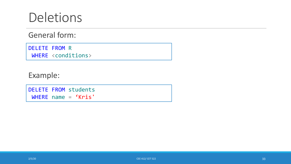#### Deletions

General form:

DELETE FROM R WHERE <conditions>

Example:

DELETE FROM students WHERE name = 'Kris'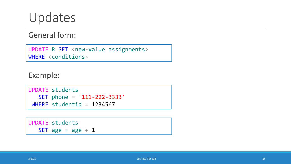

General form:

```
UPDATE R SET <new-value assignments>
WHERE <conditions>
```
Example:

```
UPDATE students
  SET phone = '111-222-3333'
WHERE studentid = 1234567
```
UPDATE students SET age =  $age + 1$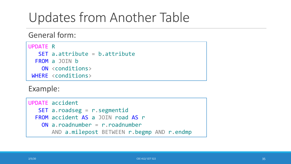#### Updates from Another Table

General form:

```
UPDATE R
   SET a.attribute = b.attribute
  FROM a JOIN b
    ON <conditions>
WHERE <conditions>
```
Example:

```
UPDATE accident
  SET a.roadseg = r.segmentid
  FROM accident AS a JOIN road AS r
    ON a.roadnumber = r.roadnumber
       AND a.milepost BETWEEN r.begmp AND r.endmp
```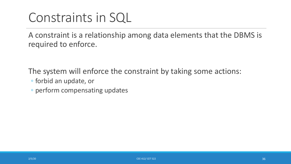#### Constraints in SQL

A constraint is a relationship among data elements that the DBMS is required to enforce.

The system will enforce the constraint by taking some actions:

- forbid an update, or
- perform compensating updates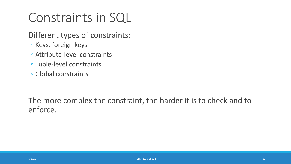#### Constraints in SQL

Different types of constraints:

- Keys, foreign keys
- Attribute-level constraints
- Tuple-level constraints
- Global constraints

The more complex the constraint, the harder it is to check and to enforce.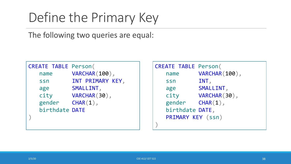### Define the Primary Key

The following two queries are equal:

| <b>CREATE TABLE Person(</b> |                  |  |  |
|-----------------------------|------------------|--|--|
| name                        | VARCHAR (100),   |  |  |
| ssn                         | INT PRIMARY KEY, |  |  |
| age                         | SMALLINT,        |  |  |
| city                        | VARCHAR (30),    |  |  |
| gender                      | $CHAR(1)$ ,      |  |  |
| birthdate DATE              |                  |  |  |
|                             |                  |  |  |
|                             |                  |  |  |

| <b>CREATE TABLE Person(</b> |                |  |  |
|-----------------------------|----------------|--|--|
| name                        | VARCHAR (100), |  |  |
| ssn                         | INT,           |  |  |
| age                         | SMALLINT,      |  |  |
| city                        | VARCHAR(30),   |  |  |
| gender CHAR(1),             |                |  |  |
| birthdate DATE,             |                |  |  |
| PRIMARY KEY (ssn)           |                |  |  |
|                             |                |  |  |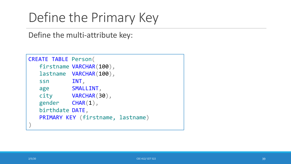## Define the Primary Key

Define the multi-attribute key:

```
CREATE TABLE Person(
  firstname VARCHAR(100),
  lastname VARCHAR(100),
   ssn INT,
   age SMALLINT,
  city VARCHAR(30),
  gender CHAR(1),
  birthdate DATE,
  PRIMARY KEY (firstname, lastname)
)
```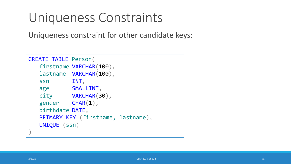#### Uniqueness Constraints

Uniqueness constraint for other candidate keys:

```
CREATE TABLE Person(
   firstname VARCHAR(100),
   lastname VARCHAR(100),
   ssn INT,
   age SMALLINT,
  city VARCHAR(30),
   gender CHAR(1),
   birthdate DATE,
   PRIMARY KEY (firstname, lastname),
   UNIQUE (ssn)
)
```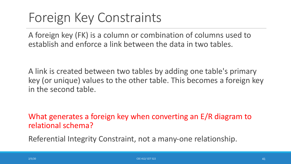A foreign key (FK) is a column or combination of columns used to establish and enforce a link between the data in two tables.

A link is created between two tables by adding one table's primary key (or unique) values to the other table. This becomes a foreign key in the second table.

What generates a foreign key when converting an E/R diagram to relational schema?

Referential Integrity Constraint, not a many-one relationship.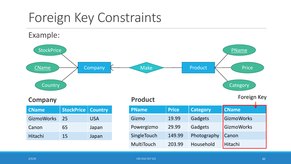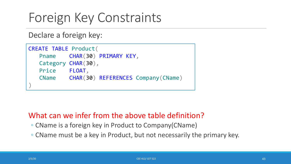Declare a foreign key:

```
CREATE TABLE Product(
   Pname CHAR(30) PRIMARY KEY,
   Category CHAR(30),
   Price FLOAT,
   CName CHAR(30) REFERENCES Company(CName)
)
```
#### What can we infer from the above table definition?

- CName is a foreign key in Product to Company(CName)
- CName must be a key in Product, but not necessarily the primary key.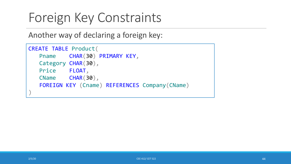Another way of declaring a foreign key:

```
CREATE TABLE Product(
   Pname CHAR(30) PRIMARY KEY,
   Category CHAR(30),
   Price FLOAT,
   CName CHAR(30),
   FOREIGN KEY (Cname) REFERENCES Company(CName)
)
```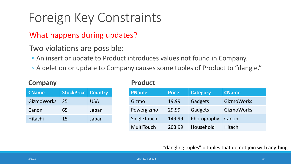#### What happens during updates?

- Two violations are possible:
- An insert or update to Product introduces values not found in Company.
- A deletion or update to Company causes some tuples of Product to "dangle."

| <u>ssiipaily</u>  |                      |            |  |
|-------------------|----------------------|------------|--|
| <b>CName</b>      | StockPrice   Country |            |  |
| <b>GizmoWorks</b> | 25                   | <b>USA</b> |  |
| Canon             | 65                   | Japan      |  |
| Hitachi           | 15                   | Japan      |  |

#### **Product**

| <b>PName</b>      | <b>Price</b> | <b>Category</b> | <b>CName</b>      |
|-------------------|--------------|-----------------|-------------------|
| Gizmo             | 19.99        | Gadgets         | <b>GizmoWorks</b> |
| Powergizmo        | 29.99        | Gadgets         | <b>GizmoWorks</b> |
| SingleTouch       | 149.99       | Photography     | Canon             |
| <b>MultiTouch</b> | 203.99       | Household       | Hitachi           |

"dangling tuples" = tuples that do not join with anything

**Company**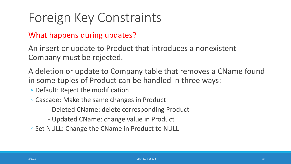#### What happens during updates?

An insert or update to Product that introduces a nonexistent Company must be rejected.

A deletion or update to Company table that removes a CName found in some tuples of Product can be handled in three ways:

- Default: Reject the modification
- Cascade: Make the same changes in Product
	- Deleted CName: delete corresponding Product
	- Updated CName: change value in Product
- Set NULL: Change the CName in Product to NULL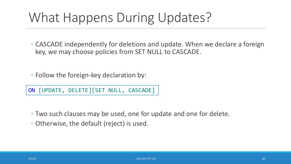## What Happens During Updates?

◦ CASCADE independently for deletions and update. When we declare a foreign key, we may choose policies from SET NULL to CASCADE.

◦ Follow the foreign-key declaration by:

ON [UPDATE, DELETE][SET NULL, CASCADE]

◦ Two such clauses may be used, one for update and one for delete.

◦ Otherwise, the default (reject) is used.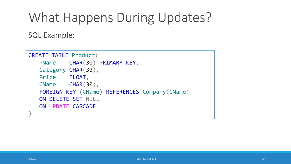## What Happens During Updates?

SQL Example:

```
CREATE TABLE Product(
   PName CHAR(30) PRIMARY KEY,
   Category CHAR(30),
   Price FLOAT,
   CName CHAR(30),
   FOREIGN KEY (CName) REFERENCES Company(CName)
   ON DELETE SET NULL
   ON UPDATE CASCADE
)
```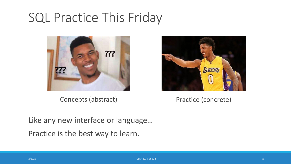#### SQL Practice This Friday



Concepts (abstract) Practice (concrete)



Like any new interface or language… Practice is the best way to learn.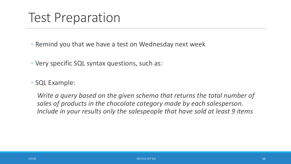#### Test Preparation

◦ Remind you that we have a test on Wednesday next week

◦ Very specific SQL syntax questions, such as:

◦ SQL Example:

*Write a query based on the given schema that returns the total number of sales of products in the chocolate category made by each salesperson. Include in your results only the salespeople that have sold at least 9 items*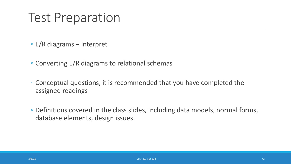#### Test Preparation

◦ E/R diagrams – Interpret

◦ Converting E/R diagrams to relational schemas

◦ Conceptual questions, it is recommended that you have completed the assigned readings

◦ Definitions covered in the class slides, including data models, normal forms, database elements, design issues.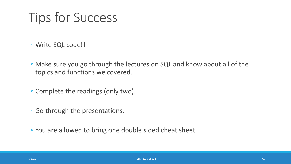#### Tips for Success

◦ Write SQL code!!

- Make sure you go through the lectures on SQL and know about all of the topics and functions we covered.
- Complete the readings (only two).
- Go through the presentations.
- You are allowed to bring one double sided cheat sheet.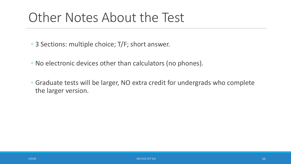#### Other Notes About the Test

- 3 Sections: multiple choice; T/F; short answer.
- No electronic devices other than calculators (no phones).
- Graduate tests will be larger, NO extra credit for undergrads who complete the larger version.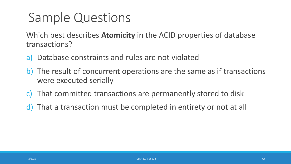### Sample Questions

Which best describes **Atomicity** in the ACID properties of database transactions?

- a) Database constraints and rules are not violated
- b) The result of concurrent operations are the same as if transactions were executed serially
- c) That committed transactions are permanently stored to disk
- d) That a transaction must be completed in entirety or not at all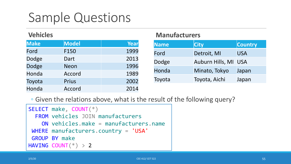## Sample Questions

| <b>Make</b>  | Model        | Year |
|--------------|--------------|------|
| Ford         | F150         | 1999 |
| Dodge        | Dart         | 2013 |
| <b>Dodge</b> | <b>Neon</b>  | 1996 |
| Honda        | Accord       | 1989 |
| Toyota       | <b>Prius</b> | 2002 |
| Honda        | Accord       | 2014 |

#### **Vehicles Manufacturers**

| <b>Name</b> | <b>City</b>      | <b>Country</b> |
|-------------|------------------|----------------|
| Ford        | Detroit, MI      | <b>USA</b>     |
| Dodge       | Auburn Hills, MI | <b>USA</b>     |
| Honda       | Minato, Tokyo    | Japan          |
| Toyota      | Toyota, Aichi    | Japan          |

◦ Given the relations above, what is the result of the following query?

```
SELECT make, COUNT(*)
  FROM vehicles JOIN manufacturers
    ON vehicles.make = manufacturers.name
WHERE manufacturers.country = 'USA'
GROUP BY make
HAVING COUNT(*) > 2
```